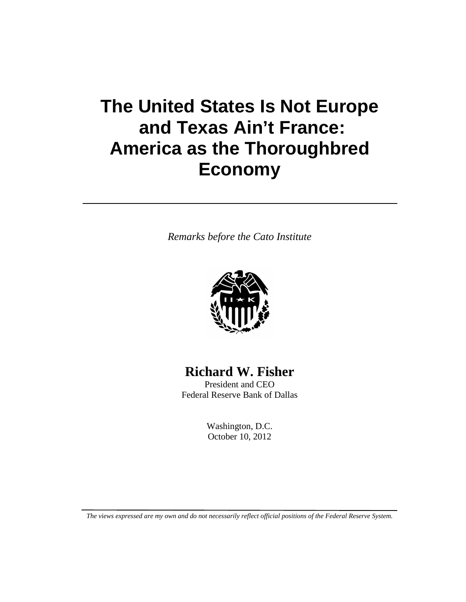# **The United States Is Not Europe and Texas Ain't France: America as the Thoroughbred Economy**

*Remarks before the Cato Institute*



## **Richard W. Fisher**

President and CEO Federal Reserve Bank of Dallas

> Washington, D.C. October 10, 2012

*The views expressed are my own and do not necessarily reflect official positions of the Federal Reserve System.*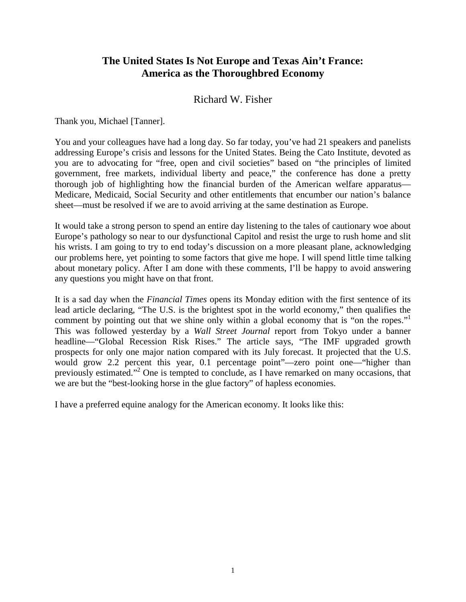### **The United States Is Not Europe and Texas Ain't France: America as the Thoroughbred Economy**

#### Richard W. Fisher

Thank you, Michael [Tanner].

You and your colleagues have had a long day. So far today, you've had 21 speakers and panelists addressing Europe's crisis and lessons for the United States. Being the Cato Institute, devoted as you are to advocating for "free, open and civil societies" based on "the principles of limited government, free markets, individual liberty and peace," the conference has done a pretty thorough job of highlighting how the financial burden of the American welfare apparatus— Medicare, Medicaid, Social Security and other entitlements that encumber our nation's balance sheet—must be resolved if we are to avoid arriving at the same destination as Europe.

It would take a strong person to spend an entire day listening to the tales of cautionary woe about Europe's pathology so near to our dysfunctional Capitol and resist the urge to rush home and slit his wrists. I am going to try to end today's discussion on a more pleasant plane, acknowledging our problems here, yet pointing to some factors that give me hope. I will spend little time talking about monetary policy. After I am done with these comments, I'll be happy to avoid answering any questions you might have on that front.

It is a sad day when the *Financial Times* opens its Monday edition with the first sentence of its lead article declaring, "The U.S. is the brightest spot in the world economy," then qualifies the comment by pointing out that we shine only within a global economy that is "on the ropes." This was followed yesterday by a *Wall Street Journal* report from Tokyo under a banner headline—"Global Recession Risk Rises." The article says, "The IMF upgraded growth prospects for only one major nation compared with its July forecast. It projected that the U.S. would grow 2.2 percent this year, 0.1 percentage point"—zero point one—"higher than previously estimated."2 One is tempted to conclude, as I have remarked on many occasions, that we are but the "best-looking horse in the glue factory" of hapless economies.

I have a preferred equine analogy for the American economy. It looks like this: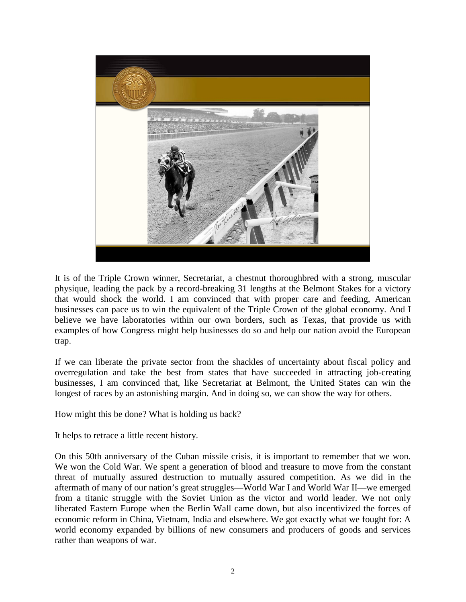

It is of the Triple Crown winner, Secretariat, a chestnut thoroughbred with a strong, muscular physique, leading the pack by a record-breaking 31 lengths at the Belmont Stakes for a victory that would shock the world. I am convinced that with proper care and feeding, American businesses can pace us to win the equivalent of the Triple Crown of the global economy. And I believe we have laboratories within our own borders, such as Texas, that provide us with examples of how Congress might help businesses do so and help our nation avoid the European trap.

If we can liberate the private sector from the shackles of uncertainty about fiscal policy and overregulation and take the best from states that have succeeded in attracting job-creating businesses, I am convinced that, like Secretariat at Belmont, the United States can win the longest of races by an astonishing margin. And in doing so, we can show the way for others.

How might this be done? What is holding us back?

It helps to retrace a little recent history.

On this 50th anniversary of the Cuban missile crisis, it is important to remember that we won. We won the Cold War. We spent a generation of blood and treasure to move from the constant threat of mutually assured destruction to mutually assured competition. As we did in the aftermath of many of our nation's great struggles—World War I and World War II—we emerged from a titanic struggle with the Soviet Union as the victor and world leader. We not only liberated Eastern Europe when the Berlin Wall came down, but also incentivized the forces of economic reform in China, Vietnam, India and elsewhere. We got exactly what we fought for: A world economy expanded by billions of new consumers and producers of goods and services rather than weapons of war.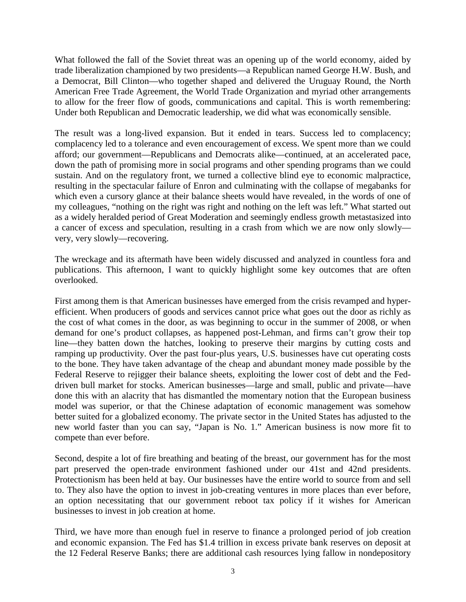What followed the fall of the Soviet threat was an opening up of the world economy, aided by trade liberalization championed by two presidents—a Republican named George H.W. Bush, and a Democrat, Bill Clinton—who together shaped and delivered the Uruguay Round, the North American Free Trade Agreement, the World Trade Organization and myriad other arrangements to allow for the freer flow of goods, communications and capital. This is worth remembering: Under both Republican and Democratic leadership, we did what was economically sensible.

The result was a long-lived expansion. But it ended in tears. Success led to complacency; complacency led to a tolerance and even encouragement of excess. We spent more than we could afford; our government—Republicans and Democrats alike—continued, at an accelerated pace, down the path of promising more in social programs and other spending programs than we could sustain. And on the regulatory front, we turned a collective blind eye to economic malpractice, resulting in the spectacular failure of Enron and culminating with the collapse of megabanks for which even a cursory glance at their balance sheets would have revealed, in the words of one of my colleagues, "nothing on the right was right and nothing on the left was left." What started out as a widely heralded period of Great Moderation and seemingly endless growth metastasized into a cancer of excess and speculation, resulting in a crash from which we are now only slowly very, very slowly—recovering.

The wreckage and its aftermath have been widely discussed and analyzed in countless fora and publications. This afternoon, I want to quickly highlight some key outcomes that are often overlooked.

First among them is that American businesses have emerged from the crisis revamped and hyperefficient. When producers of goods and services cannot price what goes out the door as richly as the cost of what comes in the door, as was beginning to occur in the summer of 2008, or when demand for one's product collapses, as happened post-Lehman, and firms can't grow their top line—they batten down the hatches, looking to preserve their margins by cutting costs and ramping up productivity. Over the past four-plus years, U.S. businesses have cut operating costs to the bone. They have taken advantage of the cheap and abundant money made possible by the Federal Reserve to rejigger their balance sheets, exploiting the lower cost of debt and the Feddriven bull market for stocks. American businesses—large and small, public and private—have done this with an alacrity that has dismantled the momentary notion that the European business model was superior, or that the Chinese adaptation of economic management was somehow better suited for a globalized economy. The private sector in the United States has adjusted to the new world faster than you can say, "Japan is No. 1." American business is now more fit to compete than ever before.

Second, despite a lot of fire breathing and beating of the breast, our government has for the most part preserved the open-trade environment fashioned under our 41st and 42nd presidents. Protectionism has been held at bay. Our businesses have the entire world to source from and sell to. They also have the option to invest in job-creating ventures in more places than ever before, an option necessitating that our government reboot tax policy if it wishes for American businesses to invest in job creation at home.

Third, we have more than enough fuel in reserve to finance a prolonged period of job creation and economic expansion. The Fed has \$1.4 trillion in excess private bank reserves on deposit at the 12 Federal Reserve Banks; there are additional cash resources lying fallow in nondepository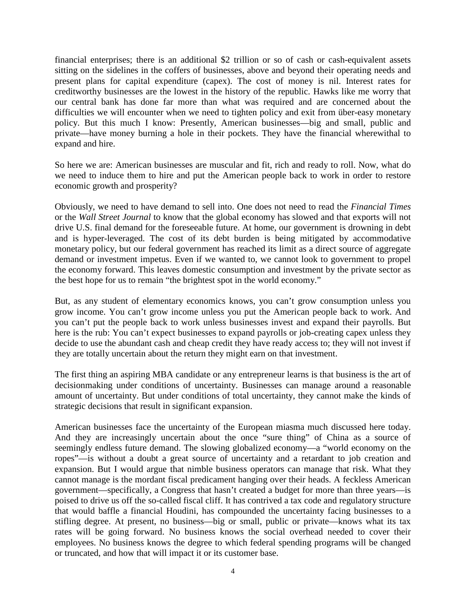financial enterprises; there is an additional \$2 trillion or so of cash or cash-equivalent assets sitting on the sidelines in the coffers of businesses, above and beyond their operating needs and present plans for capital expenditure (capex). The cost of money is nil. Interest rates for creditworthy businesses are the lowest in the history of the republic. Hawks like me worry that our central bank has done far more than what was required and are concerned about the difficulties we will encounter when we need to tighten policy and exit from über-easy monetary policy. But this much I know: Presently, American businesses—big and small, public and private—have money burning a hole in their pockets. They have the financial wherewithal to expand and hire.

So here we are: American businesses are muscular and fit, rich and ready to roll. Now, what do we need to induce them to hire and put the American people back to work in order to restore economic growth and prosperity?

Obviously, we need to have demand to sell into. One does not need to read the *Financial Times* or the *Wall Street Journal* to know that the global economy has slowed and that exports will not drive U.S. final demand for the foreseeable future. At home, our government is drowning in debt and is hyper-leveraged. The cost of its debt burden is being mitigated by accommodative monetary policy, but our federal government has reached its limit as a direct source of aggregate demand or investment impetus. Even if we wanted to, we cannot look to government to propel the economy forward. This leaves domestic consumption and investment by the private sector as the best hope for us to remain "the brightest spot in the world economy."

But, as any student of elementary economics knows, you can't grow consumption unless you grow income. You can't grow income unless you put the American people back to work. And you can't put the people back to work unless businesses invest and expand their payrolls. But here is the rub: You can't expect businesses to expand payrolls or job-creating capex unless they decide to use the abundant cash and cheap credit they have ready access to; they will not invest if they are totally uncertain about the return they might earn on that investment.

The first thing an aspiring MBA candidate or any entrepreneur learns is that business is the art of decisionmaking under conditions of uncertainty. Businesses can manage around a reasonable amount of uncertainty. But under conditions of total uncertainty, they cannot make the kinds of strategic decisions that result in significant expansion.

American businesses face the uncertainty of the European miasma much discussed here today. And they are increasingly uncertain about the once "sure thing" of China as a source of seemingly endless future demand. The slowing globalized economy—a "world economy on the ropes"—is without a doubt a great source of uncertainty and a retardant to job creation and expansion. But I would argue that nimble business operators can manage that risk. What they cannot manage is the mordant fiscal predicament hanging over their heads. A feckless American government—specifically, a Congress that hasn't created a budget for more than three years—is poised to drive us off the so-called fiscal cliff. It has contrived a tax code and regulatory structure that would baffle a financial Houdini, has compounded the uncertainty facing businesses to a stifling degree. At present, no business—big or small, public or private—knows what its tax rates will be going forward. No business knows the social overhead needed to cover their employees. No business knows the degree to which federal spending programs will be changed or truncated, and how that will impact it or its customer base.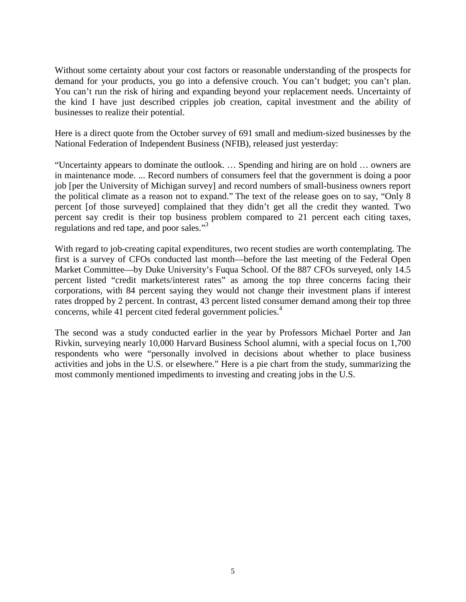Without some certainty about your cost factors or reasonable understanding of the prospects for demand for your products, you go into a defensive crouch. You can't budget; you can't plan. You can't run the risk of hiring and expanding beyond your replacement needs. Uncertainty of the kind I have just described cripples job creation, capital investment and the ability of businesses to realize their potential.

Here is a direct quote from the October survey of 691 small and medium-sized businesses by the National Federation of Independent Business (NFIB), released just yesterday:

"Uncertainty appears to dominate the outlook. … Spending and hiring are on hold … owners are in maintenance mode. ... Record numbers of consumers feel that the government is doing a poor job [per the University of Michigan survey] and record numbers of small-business owners report the political climate as a reason not to expand." The text of the release goes on to say, "Only 8 percent [of those surveyed] complained that they didn't get all the credit they wanted. Two percent say credit is their top business problem compared to 21 percent each citing taxes, regulations and red tape, and poor sales."3

With regard to job-creating capital expenditures, two recent studies are worth contemplating. The first is a survey of CFOs conducted last month—before the last meeting of the Federal Open Market Committee—by Duke University's Fuqua School. Of the 887 CFOs surveyed, only 14.5 percent listed "credit markets/interest rates" as among the top three concerns facing their corporations, with 84 percent saying they would not change their investment plans if interest rates dropped by 2 percent. In contrast, 43 percent listed consumer demand among their top three concerns, while 41 percent cited federal government policies.<sup>4</sup>

The second was a study conducted earlier in the year by Professors Michael Porter and Jan Rivkin, surveying nearly 10,000 Harvard Business School alumni, with a special focus on 1,700 respondents who were "personally involved in decisions about whether to place business activities and jobs in the U.S. or elsewhere." Here is a pie chart from the study, summarizing the most commonly mentioned impediments to investing and creating jobs in the U.S.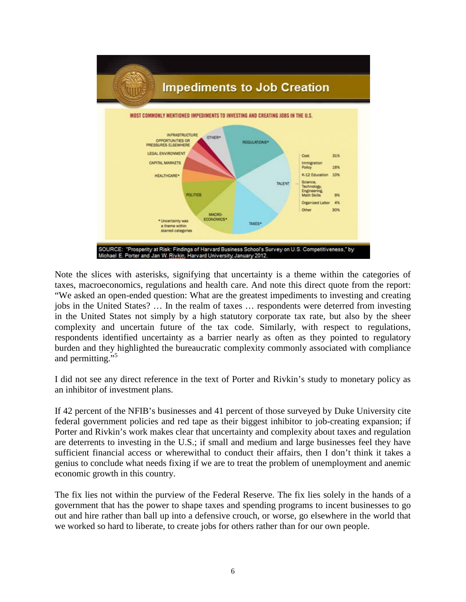

Note the slices with asterisks, signifying that uncertainty is a theme within the categories of taxes, macroeconomics, regulations and health care. And note this direct quote from the report: "We asked an open-ended question: What are the greatest impediments to investing and creating jobs in the United States? … In the realm of taxes … respondents were deterred from investing in the United States not simply by a high statutory corporate tax rate, but also by the sheer complexity and uncertain future of the tax code. Similarly, with respect to regulations, respondents identified uncertainty as a barrier nearly as often as they pointed to regulatory burden and they highlighted the bureaucratic complexity commonly associated with compliance and permitting."<sup>5</sup>

I did not see any direct reference in the text of Porter and Rivkin's study to monetary policy as an inhibitor of investment plans.

If 42 percent of the NFIB's businesses and 41 percent of those surveyed by Duke University cite federal government policies and red tape as their biggest inhibitor to job-creating expansion; if Porter and Rivkin's work makes clear that uncertainty and complexity about taxes and regulation are deterrents to investing in the U.S.; if small and medium and large businesses feel they have sufficient financial access or wherewithal to conduct their affairs, then I don't think it takes a genius to conclude what needs fixing if we are to treat the problem of unemployment and anemic economic growth in this country.

The fix lies not within the purview of the Federal Reserve. The fix lies solely in the hands of a government that has the power to shape taxes and spending programs to incent businesses to go out and hire rather than ball up into a defensive crouch, or worse, go elsewhere in the world that we worked so hard to liberate, to create jobs for others rather than for our own people.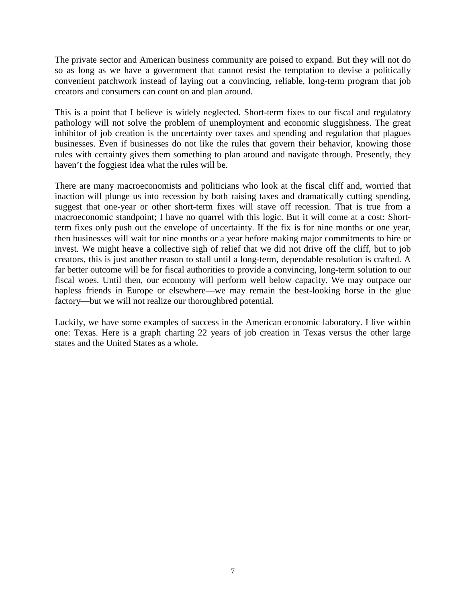The private sector and American business community are poised to expand. But they will not do so as long as we have a government that cannot resist the temptation to devise a politically convenient patchwork instead of laying out a convincing, reliable, long-term program that job creators and consumers can count on and plan around.

This is a point that I believe is widely neglected. Short-term fixes to our fiscal and regulatory pathology will not solve the problem of unemployment and economic sluggishness. The great inhibitor of job creation is the uncertainty over taxes and spending and regulation that plagues businesses. Even if businesses do not like the rules that govern their behavior, knowing those rules with certainty gives them something to plan around and navigate through. Presently, they haven't the foggiest idea what the rules will be.

There are many macroeconomists and politicians who look at the fiscal cliff and, worried that inaction will plunge us into recession by both raising taxes and dramatically cutting spending, suggest that one-year or other short-term fixes will stave off recession. That is true from a macroeconomic standpoint; I have no quarrel with this logic. But it will come at a cost: Shortterm fixes only push out the envelope of uncertainty. If the fix is for nine months or one year, then businesses will wait for nine months or a year before making major commitments to hire or invest. We might heave a collective sigh of relief that we did not drive off the cliff, but to job creators, this is just another reason to stall until a long-term, dependable resolution is crafted. A far better outcome will be for fiscal authorities to provide a convincing, long-term solution to our fiscal woes. Until then, our economy will perform well below capacity. We may outpace our hapless friends in Europe or elsewhere—we may remain the best-looking horse in the glue factory—but we will not realize our thoroughbred potential.

Luckily, we have some examples of success in the American economic laboratory. I live within one: Texas. Here is a graph charting 22 years of job creation in Texas versus the other large states and the United States as a whole.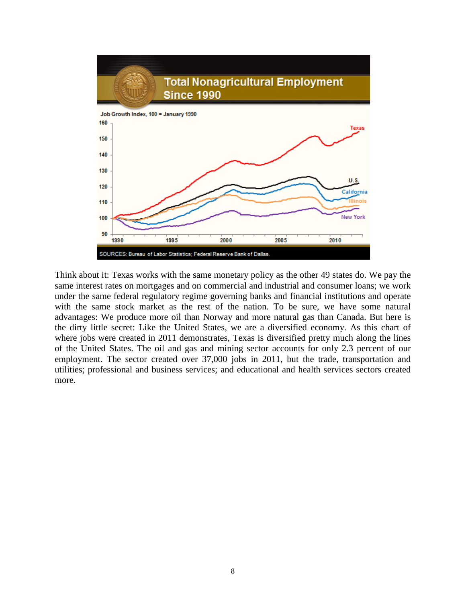

Think about it: Texas works with the same monetary policy as the other 49 states do. We pay the same interest rates on mortgages and on commercial and industrial and consumer loans; we work under the same federal regulatory regime governing banks and financial institutions and operate with the same stock market as the rest of the nation. To be sure, we have some natural advantages: We produce more oil than Norway and more natural gas than Canada. But here is the dirty little secret: Like the United States, we are a diversified economy. As this chart of where jobs were created in 2011 demonstrates, Texas is diversified pretty much along the lines of the United States. The oil and gas and mining sector accounts for only 2.3 percent of our employment. The sector created over 37,000 jobs in 2011, but the trade, transportation and utilities; professional and business services; and educational and health services sectors created more.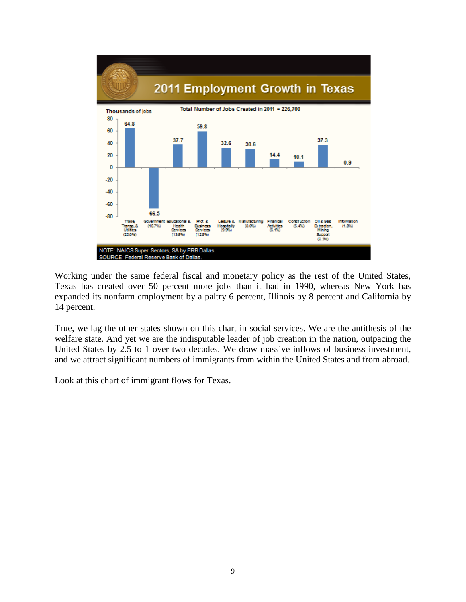

Working under the same federal fiscal and monetary policy as the rest of the United States, Texas has created over 50 percent more jobs than it had in 1990, whereas New York has expanded its nonfarm employment by a paltry 6 percent, Illinois by 8 percent and California by 14 percent.

True, we lag the other states shown on this chart in social services. We are the antithesis of the welfare state. And yet we are the indisputable leader of job creation in the nation, outpacing the United States by 2.5 to 1 over two decades. We draw massive inflows of business investment, and we attract significant numbers of immigrants from within the United States and from abroad.

Look at this chart of immigrant flows for Texas.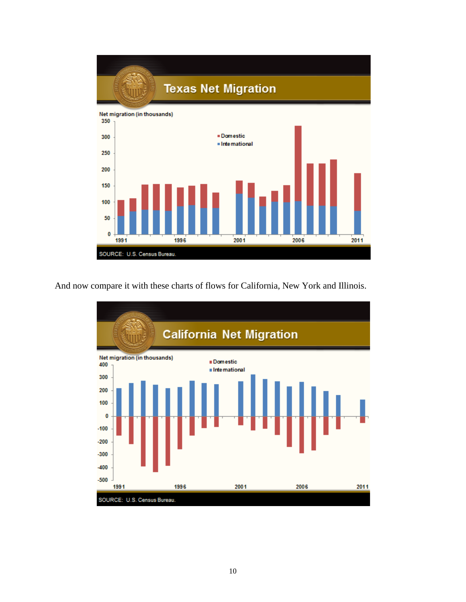

And now compare it with these charts of flows for California, New York and Illinois.

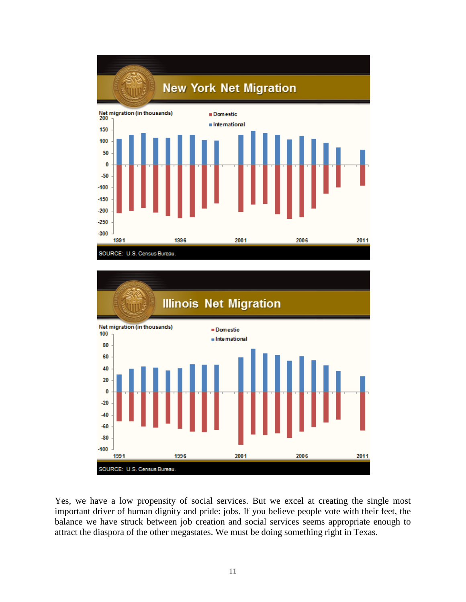



Yes, we have a low propensity of social services. But we excel at creating the single most important driver of human dignity and pride: jobs. If you believe people vote with their feet, the balance we have struck between job creation and social services seems appropriate enough to attract the diaspora of the other megastates. We must be doing something right in Texas.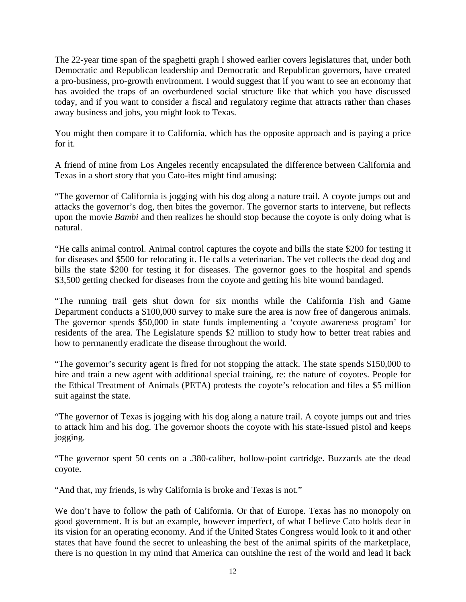The 22-year time span of the spaghetti graph I showed earlier covers legislatures that, under both Democratic and Republican leadership and Democratic and Republican governors, have created a pro-business, pro-growth environment. I would suggest that if you want to see an economy that has avoided the traps of an overburdened social structure like that which you have discussed today, and if you want to consider a fiscal and regulatory regime that attracts rather than chases away business and jobs, you might look to Texas.

You might then compare it to California, which has the opposite approach and is paying a price for it.

A friend of mine from Los Angeles recently encapsulated the difference between California and Texas in a short story that you Cato-ites might find amusing:

"The governor of California is jogging with his dog along a nature trail. A coyote jumps out and attacks the governor's dog, then bites the governor. The governor starts to intervene, but reflects upon the movie *Bambi* and then realizes he should stop because the coyote is only doing what is natural.

"He calls animal control. Animal control captures the coyote and bills the state \$200 for testing it for diseases and \$500 for relocating it. He calls a veterinarian. The vet collects the dead dog and bills the state \$200 for testing it for diseases. The governor goes to the hospital and spends \$3,500 getting checked for diseases from the coyote and getting his bite wound bandaged.

"The running trail gets shut down for six months while the California Fish and Game Department conducts a \$100,000 survey to make sure the area is now free of dangerous animals. The governor spends \$50,000 in state funds implementing a 'coyote awareness program' for residents of the area. The Legislature spends \$2 million to study how to better treat rabies and how to permanently eradicate the disease throughout the world.

"The governor's security agent is fired for not stopping the attack. The state spends \$150,000 to hire and train a new agent with additional special training, re: the nature of coyotes. People for the Ethical Treatment of Animals (PETA) protests the coyote's relocation and files a \$5 million suit against the state.

"The governor of Texas is jogging with his dog along a nature trail. A coyote jumps out and tries to attack him and his dog. The governor shoots the coyote with his state-issued pistol and keeps jogging.

"The governor spent 50 cents on a .380-caliber, hollow-point cartridge. Buzzards ate the dead coyote.

"And that, my friends, is why California is broke and Texas is not."

We don't have to follow the path of California. Or that of Europe. Texas has no monopoly on good government. It is but an example, however imperfect, of what I believe Cato holds dear in its vision for an operating economy. And if the United States Congress would look to it and other states that have found the secret to unleashing the best of the animal spirits of the marketplace, there is no question in my mind that America can outshine the rest of the world and lead it back